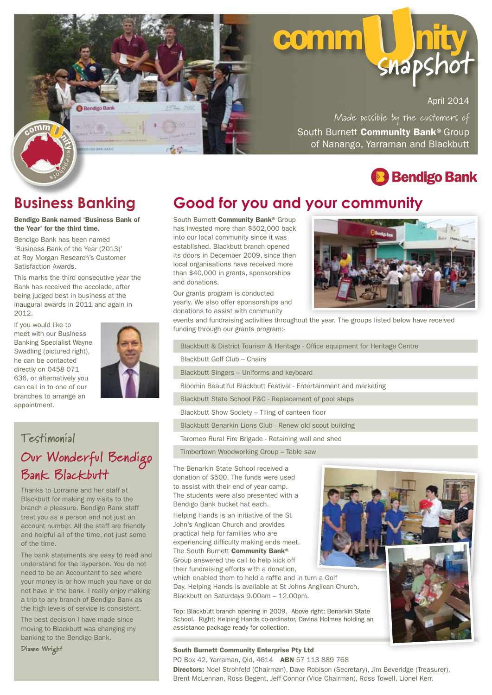

# **COMM snaps**

April 2014

South Burnett Community Bank<sup>®</sup> Group of Nanango, Yarraman and Blackbutt Made possible by the customers of



#### **Business Banking**

Bendigo Bank named 'Business Bank of the Year' for the third time.

Bendigo Bank has been named 'Business Bank of the Year (2013)' at Roy Morgan Research's Customer Satisfaction Awards.

This marks the third consecutive year the Bank has received the accolade, after being judged best in business at the inaugural awards in 2011 and again in 2012.

If you would like to meet with our Business Banking Specialist Wayne Swadling (pictured right), he can be contacted directly on 0458 071 636, or alternatively you can call in to one of our branches to arrange an appointment.



#### **Testimonial**

**Our Wonderful Bendigo Bank Blackbutt**

Thanks to Lorraine and her staff at Blackbutt for making my visits to the branch a pleasure. Bendigo Bank staff treat you as a person and not just an account number. All the staff are friendly and helpful all of the time, not just some of the time.

The bank statements are easy to read and understand for the layperson. You do not need to be an Accountant to see where your money is or how much you have or do not have in the bank. I really enjoy making a trip to any branch of Bendigo Bank as the high levels of service is consistent.

The best decision I have made since moving to Blackbutt was changing my banking to the Bendigo Bank.

Dianne Wright

#### **Good for you and your community**

South Burnett Community Bank<sup>®</sup> Group has invested more than \$502,000 back into our local community since it was established. Blackbutt branch opened its doors in December 2009, since then local organisations have received more than \$40,000 in grants, sponsorships and donations.

Our grants program is conducted yearly. We also offer sponsorships and donations to assist with community



events and fundraising activities throughout the year. The groups listed below have received funding through our grants program:-

Blackbutt & District Tourism & Heritage - Office equipment for Heritage Centre

Blackbutt Golf Club – Chairs

Blackbutt Singers – Uniforms and keyboard

Bloomin Beautiful Blackbutt Festival - Entertainment and marketing

Blackbutt State School P&C - Replacement of pool steps

Blackbutt Show Society – Tiling of canteen floor

Blackbutt Benarkin Lions Club - Renew old scout building

Taromeo Rural Fire Brigade - Retaining wall and shed

Timbertown Woodworking Group – Table saw

The Benarkin State School received a donation of \$500. The funds were used to assist with their end of year camp. The students were also presented with a Bendigo Bank bucket hat each.

Helping Hands is an initiative of the St John's Anglican Church and provides practical help for families who are experiencing difficulty making ends meet. The South Burnett Community Bank® Group answered the call to help kick off their fundraising efforts with a donation,

which enabled them to hold a raffle and in turn a Golf Day. Helping Hands is available at St Johns Anglican Church, Blackbutt on Saturdays 9.00am – 12.00pm.

Top: Blackbutt branch opening in 2009. Above right: Benarkin State School. Right: Helping Hands co-ordinator, Davina Holmes holding an assistance package ready for collection.

#### South Burnett Community Enterprise Pty Ltd

PO Box 42, Yarraman, Old, 4614 **ABN** 57 113 889 768



Directors: Noel Strohfeld (Chairman), Dave Robison (Secretary), Jim Beveridge (Treasurer), Brent McLennan, Ross Begent, Jeff Connor (Vice Chairman), Ross Towell, Lionel Kerr.